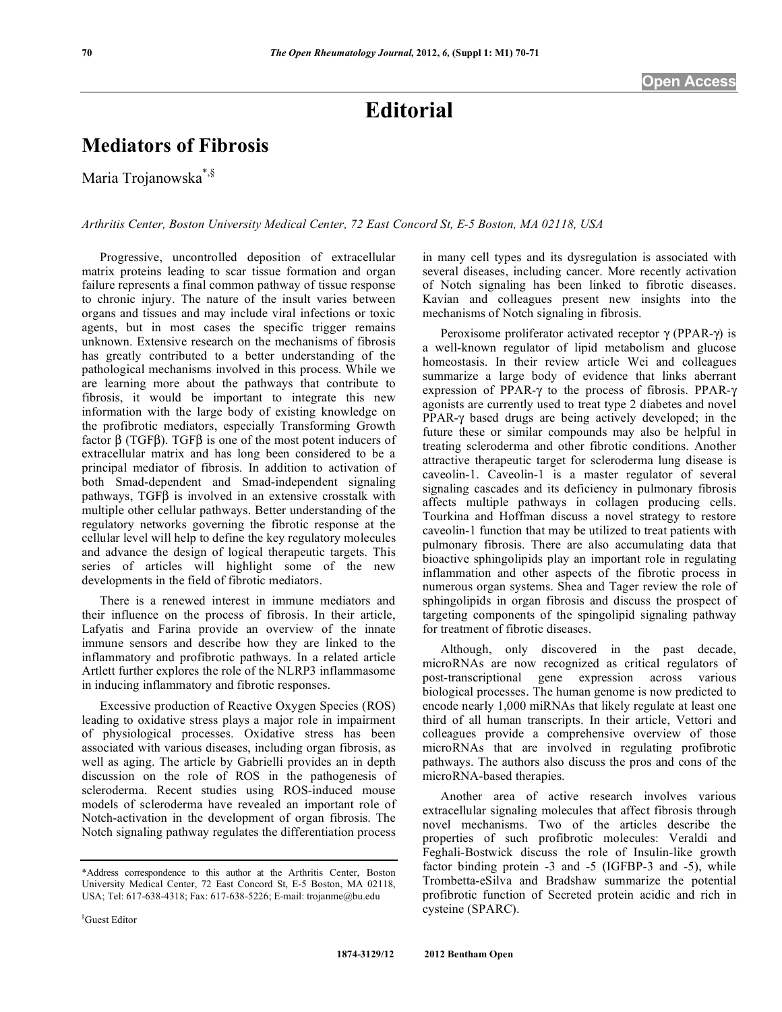## **Editorial**

## **Mediators of Fibrosis**

Maria Trojanowska\*,§

*Arthritis Center, Boston University Medical Center, 72 East Concord St, E-5 Boston, MA 02118, USA* 

 Progressive, uncontrolled deposition of extracellular matrix proteins leading to scar tissue formation and organ failure represents a final common pathway of tissue response to chronic injury. The nature of the insult varies between organs and tissues and may include viral infections or toxic agents, but in most cases the specific trigger remains unknown. Extensive research on the mechanisms of fibrosis has greatly contributed to a better understanding of the pathological mechanisms involved in this process. While we are learning more about the pathways that contribute to fibrosis, it would be important to integrate this new information with the large body of existing knowledge on the profibrotic mediators, especially Transforming Growth factor  $\beta$  (TGF $\beta$ ). TGF $\beta$  is one of the most potent inducers of extracellular matrix and has long been considered to be a principal mediator of fibrosis. In addition to activation of both Smad-dependent and Smad-independent signaling pathways,  $TGF\beta$  is involved in an extensive crosstalk with multiple other cellular pathways. Better understanding of the regulatory networks governing the fibrotic response at the cellular level will help to define the key regulatory molecules and advance the design of logical therapeutic targets. This series of articles will highlight some of the new developments in the field of fibrotic mediators.

 There is a renewed interest in immune mediators and their influence on the process of fibrosis. In their article, Lafyatis and Farina provide an overview of the innate immune sensors and describe how they are linked to the inflammatory and profibrotic pathways. In a related article Artlett further explores the role of the NLRP3 inflammasome in inducing inflammatory and fibrotic responses.

 Excessive production of Reactive Oxygen Species (ROS) leading to oxidative stress plays a major role in impairment of physiological processes. Oxidative stress has been associated with various diseases, including organ fibrosis, as well as aging. The article by Gabrielli provides an in depth discussion on the role of ROS in the pathogenesis of scleroderma. Recent studies using ROS-induced mouse models of scleroderma have revealed an important role of Notch-activation in the development of organ fibrosis. The Notch signaling pathway regulates the differentiation process in many cell types and its dysregulation is associated with several diseases, including cancer. More recently activation of Notch signaling has been linked to fibrotic diseases. Kavian and colleagues present new insights into the mechanisms of Notch signaling in fibrosis.

Peroxisome proliferator activated receptor  $\gamma$  (PPAR- $\gamma$ ) is a well-known regulator of lipid metabolism and glucose homeostasis. In their review article Wei and colleagues summarize a large body of evidence that links aberrant expression of PPAR- $\gamma$  to the process of fibrosis. PPAR- $\gamma$ agonists are currently used to treat type 2 diabetes and novel PPAR- $\gamma$  based drugs are being actively developed; in the future these or similar compounds may also be helpful in treating scleroderma and other fibrotic conditions. Another attractive therapeutic target for scleroderma lung disease is caveolin-1. Caveolin-1 is a master regulator of several signaling cascades and its deficiency in pulmonary fibrosis affects multiple pathways in collagen producing cells. Tourkina and Hoffman discuss a novel strategy to restore caveolin-1 function that may be utilized to treat patients with pulmonary fibrosis. There are also accumulating data that bioactive sphingolipids play an important role in regulating inflammation and other aspects of the fibrotic process in numerous organ systems. Shea and Tager review the role of sphingolipids in organ fibrosis and discuss the prospect of targeting components of the spingolipid signaling pathway for treatment of fibrotic diseases.

 Although, only discovered in the past decade, microRNAs are now recognized as critical regulators of post-transcriptional gene expression across various biological processes. The human genome is now predicted to encode nearly 1,000 miRNAs that likely regulate at least one third of all human transcripts. In their article, Vettori and colleagues provide a comprehensive overview of those microRNAs that are involved in regulating profibrotic pathways. The authors also discuss the pros and cons of the microRNA-based therapies.

 Another area of active research involves various extracellular signaling molecules that affect fibrosis through novel mechanisms. Two of the articles describe the properties of such profibrotic molecules: Veraldi and Feghali-Bostwick discuss the role of Insulin-like growth factor binding protein -3 and -5 (IGFBP-3 and -5), while Trombetta-eSilva and Bradshaw summarize the potential profibrotic function of Secreted protein acidic and rich in cysteine (SPARC).

§ Guest Editor

<sup>\*</sup>Address correspondence to this author at the Arthritis Center, Boston University Medical Center, 72 East Concord St, E-5 Boston, MA 02118, USA; Tel: 617-638-4318; Fax: 617-638-5226; E-mail: trojanme@bu.edu